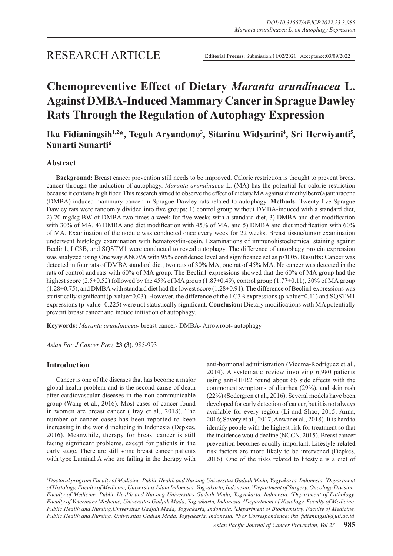# **Chemopreventive Effect of Dietary** *Maranta arundinacea* **L. Against DMBA-Induced Mammary Cancer in Sprague Dawley Rats Through the Regulation of Autophagy Expression**

# Ika Fidianingsih<sup>1,2\*</sup>, Teguh Aryandono<sup>3</sup>, Sitarina Widyarini<sup>4</sup>, Sri Herwiyanti<sup>5</sup>, **Sunarti Sunarti6**

# **Abstract**

**Background:** Breast cancer prevention still needs to be improved. Calorie restriction is thought to prevent breast cancer through the induction of autophagy. *Maranta arundinacea* L. (MA) has the potential for calorie restriction because it contains high fiber. This research aimed to observe the effect of dietary MA against dimethylbenz(a)anthracene (DMBA)-induced mammary cancer in Sprague Dawley rats related to autophagy. **Methods:** Twenty-five Sprague Dawley rats were randomly divided into five groups: 1) control group without DMBA-induced with a standard diet, 2) 20 mg/kg BW of DMBA two times a week for five weeks with a standard diet, 3) DMBA and diet modification with 30% of MA, 4) DMBA and diet modification with 45% of MA, and 5) DMBA and diet modification with 60% of MA. Examination of the nodule was conducted once every week for 22 weeks. Breast tissue/tumor examination underwent histology examination with hematoxylin-eosin. Examinations of immunohistochemical staining against Beclin1, LC3B, and SQSTM1 were conducted to reveal autophagy. The difference of autophagy protein expression was analyzed using One way ANOVA with 95% confidence level and significance set as p<0.05. **Results:** Cancer was detected in four rats of DMBA standard diet, two rats of 30% MA, one rat of 45% MA. No cancer was detected in the rats of control and rats with 60% of MA group. The Beclin1 expressions showed that the 60% of MA group had the highest score (2.5 $\pm$ 0.52) followed by the 45% of MA group (1.87 $\pm$ 0.49), control group (1.77 $\pm$ 0.11), 30% of MA group  $(1.28\pm0.75)$ , and DMBA with standard diet had the lowest score  $(1.28\pm0.91)$ . The difference of Beclin1 expressions was statistically significant (p-value=0.03). However, the difference of the LC3B expressions (p-value=0.11) and SQSTM1 expressions (p-value=0.225) were not statistically significant. **Conclusion:** Dietary modifications with MA potentially prevent breast cancer and induce initiation of autophagy.

**Keywords:** *Maranta arundinacea*- breast cancer- DMBA- Arrowroot- autophagy

*Asian Pac J Cancer Prev,* **23 (3)**, 985-993

# **Introduction**

Cancer is one of the diseases that has become a major global health problem and is the second cause of death after cardiovascular diseases in the non-communicable group (Wang et al., 2016). Most cases of cancer found in women are breast cancer (Bray et al., 2018). The number of cancer cases has been reported to keep increasing in the world including in Indonesia (Depkes, 2016). Meanwhile, therapy for breast cancer is still facing significant problems, except for patients in the early stage. There are still some breast cancer patients with type Luminal A who are failing in the therapy with

anti-hormonal administration (Viedma-Rodríguez et al., 2014). A systematic review involving 6,980 patients using anti-HER2 found about 66 side effects with the commonest symptoms of diarrhea (29%), and skin rash (22%) (Sodergren et al., 2016). Several models have been developed for early detection of cancer, but it is not always available for every region (Li and Shao, 2015; Anna, 2016; Savery et al., 2017; Anwar et al., 2018). It is hard to identify people with the highest risk for treatment so that the incidence would decline (NCCN, 2015). Breast cancer prevention becomes equally important. Lifestyle-related risk factors are more likely to be intervened (Depkes, 2016). One of the risks related to lifestyle is a diet of

*1 Doctoral program Faculty of Medicine, Public Health and Nursing Universitas Gadjah Mada, Yogyakarta, Indonesia. 2 Department of Histology, Faculty of Medicine, Universitas Islam Indonesia, Yogyakarta, Indonesia. 3 Department of Surgery, Oncology Division, Faculty of Medicine, Public Health and Nursing Universitas Gadjah Mada, Yogyakarta, Indonesia. 4 Department of Pathology, Faculty of Veterinary Medicine, Universitas Gadjah Mada, Yogyakarta, Indonesia. 5 Department of Histology, Faculty of Medicine, Public Health and Nursing,Universitas Gadjah Mada, Yogyakarta, Indonesia. 6 Department of Biochemistry, Faculty of Medicine, Public Health and Nursing, Universitas Gadjah Mada, Yogyakarta, Indonesia. \*For Correspondence: ika\_fidianingsih@uii.ac.id*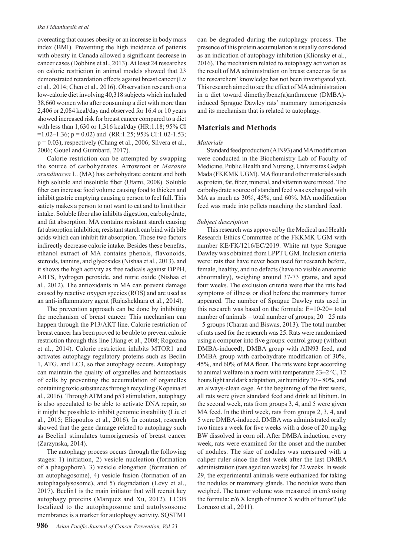#### *Ika Fidianingsih et al*

overeating that causes obesity or an increase in body mass index (BMI). Preventing the high incidence of patients with obesity in Canada allowed a significant decrease in cancer cases (Dobbins et al., 2013). At least 24 researches on calorie restriction in animal models showed that 23 demonstrated retardation effects against breast cancer (Lv et al., 2014; Chen et al., 2016). Observation research on a low-calorie diet involving 40,318 subjects which included 38,660 women who after consuming a diet with more than 2,406 or 2,084 kcal/day and observed for 16.4 or 10 years showed increased risk for breast cancer compared to a diet with less than 1,630 or 1,316 kcal/day (HR:1.18; 95% CI  $=1.02-1.36$ ; p = 0.02) and (RR:1.25; 95% CI:1.02-1.53;  $p = 0.03$ ), respectively (Chang et al., 2006; Silvera et al., 2006; Gouel and Guimbard, 2017).

Calorie restriction can be attempted by swapping the source of carbohydrates. Arrowroot or *Maranta arundinacea* L. (MA) has carbohydrate content and both high soluble and insoluble fiber (Utami, 2008). Soluble fiber can increase food volume causing food to thicken and inhibit gastric emptying causing a person to feel full. This satiety makes a person to not want to eat and to limit their intake. Soluble fiber also inhibits digestion, carbohydrate, and fat absorption. MA contains resistant starch causing fat absorption inhibition; resistant starch can bind with bile acids which can inhibit fat absorption. Those two factors indirectly decrease calorie intake. Besides these benefits, ethanol extract of MA contains phenols, flavonoids, steroids, tannins, and glycosides (Nishaa et al., 2013), and it shows the high activity as free radicals against DPPH, ABTS, hydrogen peroxide, and nitric oxide (Nishaa et al., 2012). The antioxidants in MA can prevent damage caused by reactive oxygen species (ROS) and are used as an anti-inflammatory agent (Rajashekhara et al., 2014).

The prevention approach can be done by inhibiting the mechanism of breast cancer. This mechanism can happen through the P13/AKT line. Calorie restriction of breast cancer has been proved to be able to prevent calorie restriction through this line (Jiang et al., 2008; Rogozina et al., 2014). Calorie restriction inhibits MTOR1 and activates autophagy regulatory proteins such as Beclin 1, ATG, and LC3, so that autophagy occurs. Autophagy can maintain the quality of organelles and homeostasis of cells by preventing the accumulation of organelles containing toxic substances through recycling (Kopeina et al., 2016). Through ATM and p53 stimulation, autophagy is also speculated to be able to activate DNA repair, so it might be possible to inhibit genomic instability (Liu et al., 2015; Eliopoulos et al., 2016). In contrast, research showed that the gene damage related to autophagy such as Beclin1 stimulates tumorigenesis of breast cancer (Zarzynska, 2014).

The autophagy process occurs through the following stages: 1) initiation, 2) vesicle nucleation (formation of a phagophore), 3) vesicle elongation (formation of an autophagosome), 4) vesicle fusion (formation of an autophagolysosome), and 5) degradation (Levy et al., 2017). Beclin1 is the main initiator that will recruit key autophagy proteins (Marquez and Xu, 2012). LC3B localized to the autophagosome and autolysosome membranes is a marker for autophagy activity. SQSTM1

can be degraded during the autophagy process. The presence of this protein accumulation is usually considered as an indication of autophagy inhibition (Klionsky et al., 2016). The mechanism related to autophagy activation as the result of MA administration on breast cancer as far as the researchers' knowledge has not been investigated yet. This research aimed to see the effect of MA administration in a diet toward dimethylbenz(a)anthracene (DMBA) induced Sprague Dawley rats' mammary tumorigenesis and its mechanism that is related to autophagy.

# **Materials and Methods**

#### *Materials*

Standard feed production (AIN93) and MA modification were conducted in the Biochemistry Lab of Faculty of Medicine, Public Health and Nursing, Universitas Gadjah Mada (FKKMK UGM). MA flour and other materials such as protein, fat, fiber, mineral, and vitamin were mixed. The carbohydrate source of standard feed was exchanged with MA as much as 30%, 45%, and 60%. MA modification feed was made into pellets matching the standard feed.

#### *Subject description*

This research was approved by the Medical and Health Research Ethics Committee of the FKKMK UGM with number KE/FK/1216/EC/2019. White rat type Sprague Dawley was obtained from LPPT UGM. Inclusion criteria were: rats that have never been used for research before, female, healthy, and no defects (have no visible anatomic abnormality), weighing around 37-73 grams, and aged four weeks. The exclusion criteria were that the rats had symptoms of illness or died before the mammary tumor appeared. The number of Sprague Dawley rats used in this research was based on the formula:  $E=10-20=$  total number of animals – total number of groups; 20= 25 rats – 5 groups (Charan and Biswas, 2013). The total number of rats used for the research was 25. Rats were randomized using a computer into five groups: control group (without DMBA-induced), DMBA group with AIN93 feed, and DMBA group with carbohydrate modification of 30%, 45%, and 60% of MA flour. The rats were kept according to animal welfare in a room with temperature  $23\pm2$  °C, 12 hours light and dark adaptation, air humidity 70 – 80%, and an always-clean cage. At the beginning of the first week, all rats were given standard feed and drink ad libitum. In the second week, rats from groups 3, 4, and 5 were given MA feed. In the third week, rats from groups 2, 3, 4, and 5 were DMBA-induced. DMBA was administrated orally two times a week for five weeks with a dose of 20 mg/kg BW dissolved in corn oil. After DMBA induction, every week, rats were examined for the onset and the number of nodules. The size of nodules was measured with a caliper ruler since the first week after the last DMBA administration (rats aged ten weeks) for 22 weeks. In week 29, the experimental animals were euthanized for taking the nodules or mammary glands. The nodules were then weighed. The tumor volume was measured in cm3 using the formula:  $\pi/6$  X length of tumor X width of tumor2 (de Lorenzo et al., 2011).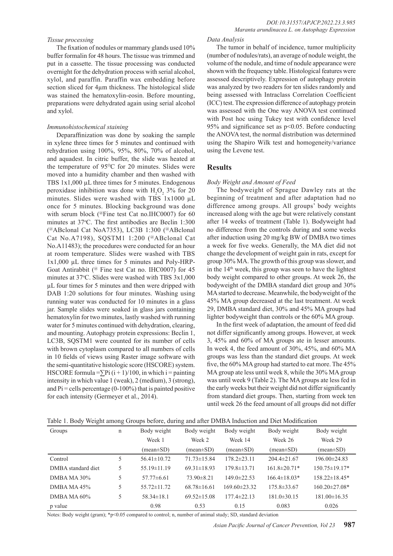#### *Tissue processing*

The fixation of nodules or mammary glands used 10% buffer formalin for 48 hours. The tissue was trimmed and put in a cassette. The tissue processing was conducted overnight for the dehydration process with serial alcohol, xylol, and paraffin. Paraffin wax embedding before section sliced for 4µm thickness. The histological slide was stained the hematoxylin-eosin. Before mounting, preparations were dehydrated again using serial alcohol and xylol.

#### *Immunohistochemical staining*

Deparaffinization was done by soaking the sample in xylene three times for 5 minutes and continued with rehydration using 100%, 95%, 80%, 70% of alcohol, and aquadest. In citric buffer, the slide was heated at the temperature of  $95^{\circ}$ C for 20 minutes. Slides were moved into a humidity chamber and then washed with TBS 1x1,000 µL three times for 5 minutes. Endogenous peroxidase inhibition was done with  $H_2O_2$  3% for 20 minutes. Slides were washed with TBS  $1x1000 \mu L$ once for 5 minutes. Blocking background was done with serum block (@Fine test Cat no.IHC0007) for 60 minutes at 37°C. The first antibodies are Beclin 1:300 (@ABclonal Cat NoA7353), LC3B 1:300 (@ABclonal Cat No.A7198), SQSTM1 1:200 (@ABclonal Cat No.A11483); the procedures were conducted for an hour at room temperature. Slides were washed with TBS 1x1,000 µL three times for 5 minutes and Poly-HRP-Goat Antirabbit (@ Fine test Cat no. IHC0007) for 45 minutes at  $37^{\circ}$ C. Slides were washed with TBS  $3x1,000$ µL four times for 5 minutes and then were dripped with DAB 1:20 solutions for four minutes. Washing using running water was conducted for 10 minutes in a glass jar. Sample slides were soaked in glass jars containing hematoxylin for two minutes, lastly washed with running water for 5 minutes continued with dehydration, clearing, and mounting. Autophagy protein expressions: Beclin 1, LC3B, SQSTM1 were counted for its number of cells with brown cytoplasm compared to all numbers of cells in 10 fields of views using Raster image software with the semi-quantitative histologic score (HSCORE) system. HSCORE formula = $\sum P_i (i + 1)/100$ , in which i = painting intensity in which value 1 (weak), 2 (medium), 3 (strong), and  $Pi$  = cells percentage (0-100%) that is painted positive for each intensity (Germeyer et al., 2014).

#### *Data Analysis*

The tumor in behalf of incidence, tumor multiplicity (number of nodules/rats), an average of nodule weight, the volume of the nodule, and time of nodule appearance were shown with the frequency table. Histological features were assessed descriptively. Expression of autophagy protein was analyzed by two readers for ten slides randomly and being assessed with Intraclass Correlation Coefficient (ICC) test. The expression difference of autophagy protein was assessed with the One way ANOVA test continued with Post hoc using Tukey test with confidence level 95% and significance set as p<0.05. Before conducting the ANOVA test, the normal distribution was determined using the Shapiro Wilk test and homogeneity/variance using the Levene test.

#### **Results**

#### *Body Weight and Amount of Feed*

The bodyweight of Sprague Dawley rats at the beginning of treatment and after adaptation had no difference among groups. All groups' body weights increased along with the age but were relatively constant after 14 weeks of treatment (Table 1). Bodyweight had no difference from the controls during and some weeks after induction using 20 mg/kg BW of DMBA two times a week for five weeks. Generally, the MA diet did not change the development of weight gain in rats, except for group 30% MA. The growth of this group was slower, and in the 14th week, this group was seen to have the lightest body weight compared to other groups. At week 26, the bodyweight of the DMBA standard diet group and 30% MA started to decrease. Meanwhile, the bodyweight of the 45% MA group decreased at the last treatment. At week 29, DMBA standard diet, 30% and 45% MA groups had lighter bodyweight than controls or the 60% MA group.

In the first week of adaptation, the amount of feed did not differ significantly among groups. However, at week 3, 45% and 60% of MA groups ate in lesser amounts. In week 4, the feed amount of 30%, 45%, and 60% MA groups was less than the standard diet groups. At week five, the 60% MA group had started to eat more. The 45% MA group ate less until week 8, while the 30% MA group was until week 9 (Table 2). The MA groups ate less fed in the early weeks but their weight did not differ significantly from standard diet groups. Then, starting from week ten until week 26 the feed amount of all groups did not differ

|  |  |  |  | Table 1. Body Weight among Groups before, during and after DMBA Induction and Diet Modification |
|--|--|--|--|-------------------------------------------------------------------------------------------------|
|  |  |  |  |                                                                                                 |

| Groups             | n | Body weight       | Body weight                   | Body weight                   | Body weight                   | Body weight                   |
|--------------------|---|-------------------|-------------------------------|-------------------------------|-------------------------------|-------------------------------|
|                    |   | Week 1            | Week 2                        | Week 14                       | Week 26                       | Week 29                       |
|                    |   | (mean±SD)         | $(\text{mean} \pm \text{SD})$ | $(\text{mean} \pm \text{SD})$ | $(\text{mean} \pm \text{SD})$ | $(\text{mean} \pm \text{SD})$ |
| Control            | 5 | $56.41 \pm 10.72$ | $71.73 \pm 15.84$             | $178.2 \pm 23.11$             | $204.4 \pm 21.67$             | $196.00\pm24.83$              |
| DMBA standard diet | 5 | $55.19 \pm 11.19$ | $69.31 \pm 18.93$             | $179.8 \pm 13.71$             | $161.8 \pm 20.71*$            | 150.75±19.17*                 |
| DMBA MA $30\%$     | 5 | $57.77\pm 6.61$   | $73.90 \pm 8.21$              | $149.0 \pm 22.53$             | $166.4 \pm 18.03*$            | $158.22 \pm 18.45*$           |
| DMBA MA $45%$      | 5 | $55.72 \pm 11.72$ | $68.78\pm16.61$               | $169.60\pm23.32$              | $175.8 \pm 33.67$             | $160.20 \pm 27.08*$           |
| DMBA MA $60\%$     | 5 | $58.34 \pm 18.1$  | $69.52 \pm 15.08$             | $177.4 \pm 22.13$             | $181.0 \pm 30.15$             | $181.00\pm16.35$              |
| p value            |   | 0.98              | 0.53                          | 0.15                          | 0.083                         | 0.026                         |

Notes: Body weight (gram); \*p<0.05 compared to control; n, number of animal study; SD, standard deviation

*Asian Pacific Journal of Cancer Prevention, Vol 23* **987**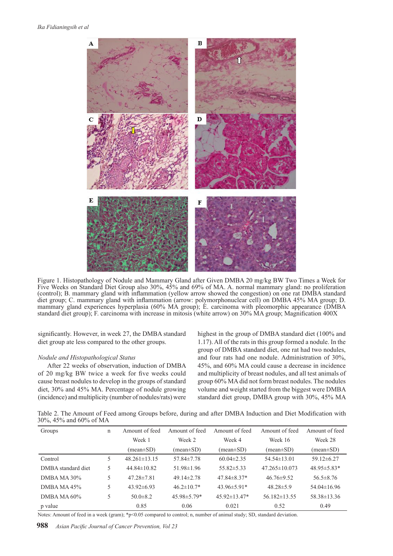

Figure 1. Histopathology of Nodule and Mammary Gland after Given DMBA 20 mg/kg BW Two Times a Week for Five Weeks on Standard Diet Group also 30%, 45% and 69% of MA. A. normal mammary gland: no proliferation (control); B. mammary gland with inflammation (yellow arrow showed the congestion) on one rat DMBA standard diet group; C. mammary gland with inflammation (arrow: polymorphonuclear cell) on DMBA 45% MA group; D. mammary gland experiences hyperplasia (60% MA group); E. carcinoma with pleomorphic appearance (DMBA standard diet group); F. carcinoma with increase in mitosis (white arrow) on 30% MA group; Magnification 400X

significantly. However, in week 27, the DMBA standard diet group ate less compared to the other groups.

#### *Nodule and Histopathological Status*

After 22 weeks of observation, induction of DMBA of 20 mg/kg BW twice a week for five weeks could cause breast nodules to develop in the groups of standard diet, 30% and 45% MA. Percentage of nodule growing (incidence) and multiplicity (number of nodules/rats) were highest in the group of DMBA standard diet (100% and 1.17). All of the rats in this group formed a nodule. In the group of DMBA standard diet, one rat had two nodules, and four rats had one nodule. Administration of 30%, 45%, and 60% MA could cause a decrease in incidence and multiplicity of breast nodules, and all test animals of group 60% MA did not form breast nodules. The nodules volume and weight started from the biggest were DMBA standard diet group, DMBA group with 30%, 45% MA

Table 2. The Amount of Feed among Groups before, during and after DMBA Induction and Diet Modification with 30%, 45% and 60% of MA

| Groups             | n | Amount of feed                | Amount of feed                | Amount of feed                | Amount of feed      | Amount of feed    |
|--------------------|---|-------------------------------|-------------------------------|-------------------------------|---------------------|-------------------|
|                    |   | Week 1                        | Week 2                        | Week 4                        | Week 16             | Week 28           |
|                    |   | $(\text{mean} \pm \text{SD})$ | $(\text{mean} \pm \text{SD})$ | $(\text{mean} \pm \text{SD})$ | $(mean \pm SD)$     | (mean±SD)         |
| Control            |   | $48.261 \pm 13.15$            | $57.84 \pm 7.78$              | $60.04 \pm 2.35$              | $54.54\pm13.01$     | $59.12 \pm 6.27$  |
| DMBA standard diet | 5 | $44.84 \pm 10.82$             | $51.98 \pm 1.96$              | $55.82 \pm 5.33$              | $47.265 \pm 10.073$ | $48.95 \pm 5.83*$ |
| DMBA MA $30\%$     |   | $47.28 \pm 7.81$              | $49.14 \pm 2.78$              | $47.84 \pm 8.37*$             | $46.76 \pm 9.52$    | $56.5 \pm 8.76$   |
| DMBA MA $45%$      |   | $43.92\pm 6.93$               | $46.2 \pm 10.7*$              | $43.96\pm5.91*$               | $48.28 \pm 5.9$     | $54.04\pm16.96$   |
| DMBA MA $60\%$     |   | $50.0 \pm 8.2$                | $45.98 \pm 5.79*$             | 45.92±13.47*                  | $56.182\pm13.55$    | $58.38\pm13.36$   |
| p value            |   | 0.85                          | 0.06                          | 0.021                         | 0.52                | 0.49              |

Notes: Amount of feed in a week (gram); \*p<0.05 compared to control; n, number of animal study; SD, standard deviation.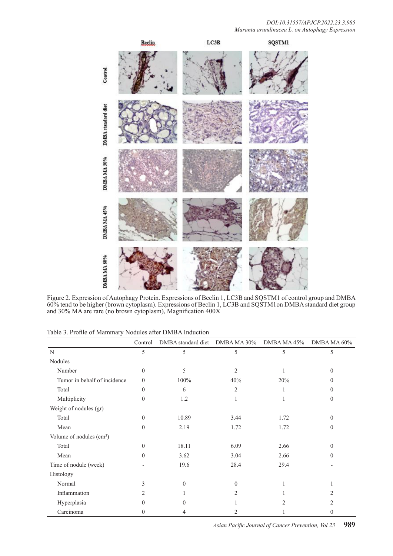

Figure 2. Expression of Autophagy Protein. Expressions of Beclin 1, LC3B and SQSTM1 of control group and DMBA 60% tend to be higher (brown cytoplasm). Expressions of Beclin 1, LC3B and SQSTM1on DMBA standard diet group and 30% MA are rare (no brown cytoplasm), Magnification 400X

|  | Table 3. Profile of Mammary Nodules after DMBA Induction |
|--|----------------------------------------------------------|
|--|----------------------------------------------------------|

|                                      | Control  | DMBA standard diet | DMBA MA 30%    | DMBA MA 45%    | DMBA MA 60%    |
|--------------------------------------|----------|--------------------|----------------|----------------|----------------|
| $\mathbf N$                          | 5        | 5                  | 5              | 5              | 5              |
| Nodules                              |          |                    |                |                |                |
| Number                               | $\theta$ | 5                  | 2              | 1              | $\theta$       |
| Tumor in behalf of incidence         | $\theta$ | 100%               | 40%            | 20%            | $\Omega$       |
| Total                                | $\theta$ | 6                  | $\overline{c}$ |                | $\Omega$       |
| Multiplicity                         | $\theta$ | 1.2                | 1              |                | $\theta$       |
| Weight of nodules (gr)               |          |                    |                |                |                |
| Total                                | $\theta$ | 10.89              | 3.44           | 1.72           | $\Omega$       |
| Mean                                 | $\theta$ | 2.19               | 1.72           | 1.72           | $\Omega$       |
| Volume of nodules (cm <sup>3</sup> ) |          |                    |                |                |                |
| Total                                | $\theta$ | 18.11              | 6.09           | 2.66           | $\theta$       |
| Mean                                 | $\theta$ | 3.62               | 3.04           | 2.66           | 0              |
| Time of nodule (week)                |          | 19.6               | 28.4           | 29.4           |                |
| Histology                            |          |                    |                |                |                |
| Normal                               | 3        | $\Omega$           | $\Omega$       |                |                |
| Inflammation                         | 2        |                    | 2              |                | 2              |
| Hyperplasia                          | $\Omega$ | 0                  |                | $\mathfrak{D}$ | $\mathfrak{D}$ |
| Carcinoma                            | $\Omega$ | 4                  |                |                | $\left($       |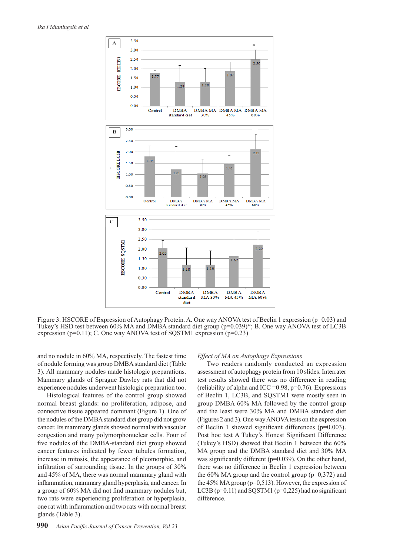

Figure 3. HSCORE of Expression of Autophagy Protein. A. One way ANOVA test of Beclin 1 expression (p=0.03) and Tukey's HSD test between 60% MA and DMBA standard diet group (p=0.039)\*; B. One way ANOVA test of LC3B expression ( $p=0.11$ ); C. One way ANOVA test of SQSTM1 expression ( $p=0.23$ )

and no nodule in 60% MA, respectively. The fastest time of nodule forming was group DMBA standard diet (Table 3). All mammary nodules made histologic preparations. Mammary glands of Sprague Dawley rats that did not experience nodules underwent histologic preparation too.

Histological features of the control group showed normal breast glands: no proliferation, adipose, and connective tissue appeared dominant (Figure 1). One of the nodules of the DMBA standard diet group did not grow cancer. Its mammary glands showed normal with vascular congestion and many polymorphonuclear cells. Four of five nodules of the DMBA-standard diet group showed cancer features indicated by fewer tubules formation, increase in mitosis, the appearance of pleomorphic, and infiltration of surrounding tissue. In the groups of 30% and 45% of MA, there was normal mammary gland with inflammation, mammary gland hyperplasia, and cancer. In a group of 60% MA did not find mammary nodules but, two rats were experiencing proliferation or hyperplasia, one rat with inflammation and two rats with normal breast glands (Table 3).

#### *Effect of MA on Autophagy Expressions*

Two readers randomly conducted an expression assessment of autophagy protein from 10 slides. Interrater test results showed there was no difference in reading (reliability of alpha and ICC =  $0.98$ , p= $0.76$ ). Expressions of Beclin 1, LC3B, and SQSTM1 were mostly seen in group DMBA 60% MA followed by the control group and the least were 30% MA and DMBA standard diet (Figures 2 and 3). One way ANOVA tests on the expression of Beclin 1 showed significant differences (p=0.003). Post hoc test A Tukey's Honest Significant Difference (Tukey's HSD) showed that Beclin 1 between the 60% MA group and the DMBA standard diet and 30% MA was significantly different (p=0.039). On the other hand, there was no difference in Beclin 1 expression between the  $60\%$  MA group and the control group ( $p=0.372$ ) and the 45% MA group (p=0,513). However, the expression of LC3B ( $p=0.11$ ) and SQSTM1 ( $p=0.225$ ) had no significant difference.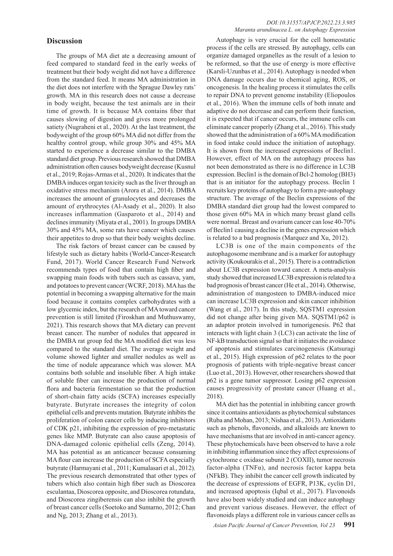### **Discussion**

The groups of MA diet ate a decreasing amount of feed compared to standard feed in the early weeks of treatment but their body weight did not have a difference from the standard feed. It means MA administration in the diet does not interfere with the Sprague Dawley rats' growth. MA in this research does not cause a decrease in body weight, because the test animals are in their time of growth. It is because MA contains fiber that causes slowing of digestion and gives more prolonged satiety (Nugraheni et al., 2020). At the last treatment, the bodyweight of the group 60% MA did not differ from the healthy control group, while group 30% and 45% MA started to experience a decrease similar to the DMBA standard diet group. Previous research showed that DMBA administration often causes bodyweight decrease (Kusnul et al., 2019; Rojas-Armas et al., 2020). It indicates that the DMBA induces organ toxicity such as the liver through an oxidative stress mechanism (Arora et al., 2014). DMBA increases the amount of granulocytes and decreases the amount of erythrocytes (Al-Asady et al., 2020). It also increases inflammation (Gasparoto et al., 2014) and declines immunity (Miyata et al., 2001). In groups DMBA 30% and 45% MA, some rats have cancer which causes their appetites to drop so that their body weights decline.

The risk factors of breast cancer can be caused by lifestyle such as dietary habits (World-Cancer-Research Fund, 2017). World Cancer Research Fund Network recommends types of food that contain high fiber and swapping main foods with tubers such as cassava, yam, and potatoes to prevent cancer (WCRF, 2018). MA has the potential in becoming a swapping alternative for the main food because it contains complex carbohydrates with a low glycemic index, but the research of MA toward cancer prevention is still limited (Firoskhan and Muthuswamy, 2021). This research shows that MA dietary can prevent breast cancer. The number of nodules that appeared in the DMBA rat group fed the MA modified diet was less compared to the standard diet. The average weight and volume showed lighter and smaller nodules as well as the time of nodule appearance which was slower. MA contains both soluble and insoluble fiber. A high intake of soluble fiber can increase the production of normal flora and bacteria fermentation so that the production of short-chain fatty acids (SCFA) increases especially butyrate. Butyrate increases the integrity of colon epithelial cells and prevents mutation. Butyrate inhibits the proliferation of colon cancer cells by inducing inhibitors of CDK p21, inhibiting the expression of pro-metastatic genes like MMP. Butyrate can also cause apoptosis of DNA-damaged colonic epithelial cells (Zeng, 2014). MA has potential as an anticancer because consuming MA flour can increase the production of SCFA especially butyrate (Harmayani et al., 2011; Kumalasari et al., 2012). The previous research demonstrated that other types of tubers which also contain high fiber such as Dioscorea esculantaa, Dioscorea opposite, and Dioscorea rotundata, and Dioscorea zingiberensis can also inhibit the growth of breast cancer cells (Soetoko and Sumarno, 2012; Chan and Ng, 2013; Zhang et al., 2013).

Autophagy is very crucial for the cell homeostatic process if the cells are stressed. By autophagy, cells can organize damaged organelles as the result of a lesion to be reformed, so that the use of energy is more effective (Karsli-Uzunbas et al., 2014). Autophagy is needed when DNA damage occurs due to chemical aging, ROS, or oncogenesis. In the healing process it stimulates the cells to repair DNA to prevent genome instability (Eliopoulos et al., 2016). When the immune cells of both innate and adaptive do not decrease and can perform their function, it is expected that if cancer occurs, the immune cells can eliminate cancer properly (Zhang et al., 2016). This study showed that the administration of a 60% MA modification in food intake could induce the initiation of autophagy. It is shown from the increased expressions of Beclin1. However, effect of MA on the autophagy process has not been demonstrated as there is no difference in LC3B expression. Beclin1 is the domain of Bcl-2 homolog (BH3) that is an initiator for the autophagy process. Beclin 1 recruits key proteins of autophagy to form a pre-autophagy structure. The average of the Beclin expressions of the DMBA standard diet group had the lowest compared to those given 60% MA in which many breast gland cells were normal. Breast and ovarium cancer can lose 40-70% of Beclin1 causing a decline in the genes expression which is related to a bad prognosis (Marquez and Xu, 2012).

LC3B is one of the main components of the autophagosome membrane and is a marker for autophagy activity (Koukourakis et al., 2015). There is a contradiction about LC3B expression toward cancer. A meta-analysis study showed that increased LC3B expression is related to a bad prognosis of breast cancer (He et al., 2014). Otherwise, administration of mangosteen to DMBA-induced mice can increase LC3B expression and skin cancer inhibition (Wang et al., 2017). In this study, SQSTM1 expression did not change after being given MA. SQSTM1/p62 is an adaptor protein involved in tumorigenesis. P62 that interacts with light chain 3 (LC3) can activate the line of NF-kB transduction signal so that it initiates the avoidance of apoptosis and stimulates carcinogenesis (Katsuragi et al., 2015). High expression of p62 relates to the poor prognosis of patients with triple-negative breast cancer (Luo et al., 2013). However, other researchers showed that p62 is a gene tumor suppressor. Losing p62 expression causes progressivity of prostate cancer (Huang et al., 2018).

MA diet has the potential in inhibiting cancer growth since it contains antioxidants as phytochemical substances (Ruba and Mohan, 2013; Nishaa et al., 2013). Antioxidants such as phenols, flavonoids, and alkaloids are known to have mechanisms that are involved in anti-cancer agency. These phytochemicals have been observed to have a role in inhibiting inflammation since they affect expressions of cytochrome c oxidase subunit 2 (COXII), tumor necrosis factor-alpha (TNF $\alpha$ ), and necrosis factor kappa beta (NFkB). They inhibit the cancer cell growth indicated by the decrease of expressions of EGFR, P13K, cyclin D1, and increased apoptosis (Iqbal et al., 2017). Flavonoids have also been widely studied and can induce autophagy and prevent various diseases. However, the effect of flavonoids plays a different role in various cancer cells as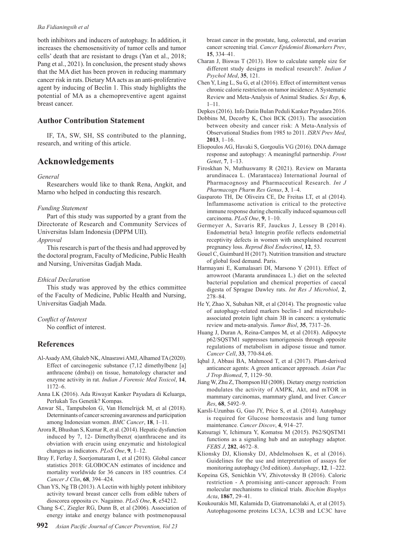#### *Ika Fidianingsih et al*

both inhibitors and inducers of autophagy. In addition, it increases the chemosensitivity of tumor cells and tumor cells' death that are resistant to drugs (Yan et al., 2018; Pang et al., 2021). In conclusion, the present study shows that the MA diet has been proven in reducing mammary cancer risk in rats. Dietary MA acts as an anti-proliferative agent by inducing of Beclin 1. This study highlights the potential of MA as a chemopreventive agent against breast cancer.

# **Author Contribution Statement**

IF, TA, SW, SH, SS contributed to the planning, research, and writing of this article.

# **Acknowledgements**

#### *General*

Researchers would like to thank Rena, Angkit, and Marno who helped in conducting this research.

#### *Funding Statement*

Part of this study was supported by a grant from the Directorate of Research and Community Services of Universitas Islam Indonesia (DPPM UII). *Approval*

This research is part of the thesis and had approved by the doctoral program, Faculty of Medicine, Public Health and Nursing, Universitas Gadjah Mada.

#### *Ethical Declaration*

This study was approved by the ethics committee of the Faculty of Medicine, Public Health and Nursing, Universitas Gadjah Mada.

#### *Conflict of Interest*

No conflict of interest.

# **References**

- Al-Asady AM, Ghaleb NK, Alnasrawi AMJ, Alhamed TA (2020). Effect of carcinogenic substance (7,12 dimethylbenz [a] anthracene (dmba)) on tissue, hematology character and enzyme activity in rat. *Indian J Forensic Med Toxicol*, **14**, 1172–6.
- Anna LK (2016). Ada Riwayat Kanker Payudara di Keluarga, Perlukah Tes Genetik? Kompas.
- Anwar SL, Tampubolon G, Van Hemelrijck M, et al (2018). Determinants of cancer screening awareness and participation among Indonesian women. *BMC Cancer*, **18**, 1–11.
- Arora R, Bhushan S, Kumar R, et al. (2014). Hepatic dysfunction induced by 7, 12- Dimethylbenz( α)anthracene and its obviation with erucin using enzymatic and histological changes as indicators. *PLoS One*, **9**, 1–12.
- Bray F, Ferlay J, Soerjomataram I, et al (2018). Global cancer statistics 2018: GLOBOCAN estimates of incidence and mortality worldwide for 36 cancers in 185 countries. *CA Cancer J Clin*, **68**, 394–424.
- Chan YS, Ng TB (2013). A Lectin with highly potent inhibitory activity toward breast cancer cells from edible tubers of dioscorea opposita cv. Nagaimo. *PLoS One*, **8**, e54212.
- Chang S-C, Ziegler RG, Dunn B, et al (2006). Association of energy intake and energy balance with postmenopausal

breast cancer in the prostate, lung, colorectal, and ovarian cancer screening trial. *Cancer Epidemiol Biomarkers Prev*, **15**, 334–41.

- Charan J, Biswas T (2013). How to calculate sample size for different study designs in medical research?. *Indian J Psychol Med*, **35**, 121.
- Chen Y, Ling L, Su G, et al (2016). Effect of intermittent versus chronic calorie restriction on tumor incidence: A Systematic Review and Meta-Analysis of Animal Studies. *Sci Rep*, **6**, 1–11.

Depkes (2016). Info Datin Bulan Peduli Kanker Payudara 2016.

- Dobbins M, Decorby K, Choi BCK (2013). The association between obesity and cancer risk: A Meta-Analysis of Observational Studies from 1985 to 2011. *ISRN Prev Med*, **2013**, 1–16.
- Eliopoulos AG, Havaki S, Gorgoulis VG (2016). DNA damage response and autophagy: A meaningful partnership. *Front Genet*, **7**, 1–13.
- Firoskhan N, Muthuswamy R (2021). Review on Maranta arundinacea L. (Marantacea) International Journal of Pharmacognosy and Pharmaceutical Research. *Int J Pharmacogn Pharm Res Genus*, **3**, 1–4.
- Gasparoto TH, De Oliveira CE, De Freitas LT, et al (2014). Inflammasome activation is critical to the protective immune response during chemically induced squamous cell carcinoma. *PLoS One*, **9**, 1–10.
- Germeyer A, Savaris RF, Jauckus J, Lessey B (2014). Endometrial beta3 Integrin profile reflects endometrial receptivity defects in women with unexplained recurrent pregnancy loss. *Reprod Biol Endocrinol*, **12**, 53.
- Gouel C, Guimbard H (2017). Nutrition transition and structure of global food demand. Paris.
- Harmayani E, Kumalasari DI, Marsono Y (2011). Effect of arrowroot (Maranta arundinacea L.) diet on the selected bacterial population and chemical properties of caecal digesta of Sprague Dawley rats. *Int Res J Microbiol*, **2**, 278–84.
- He Y, Zhao X, Subahan NR, et al (2014). The prognostic value of autophagy-related markers beclin-1 and microtubuleassociated protein light chain 3B in cancers: a systematic review and meta-analysis. *Tumor Biol*, **35**, 7317–26.
- Huang J, Duran A, Reina-Campos M, et al (2018). Adipocyte p62/SQSTM1 suppresses tumorigenesis through opposite regulations of metabolism in adipose tissue and tumor. *Cancer Cell*, **33**, 770-84.e6.
- Iqbal J, Abbasi BA, Mahmood T, et al (2017). Plant-derived anticancer agents: A green anticancer approach. *Asian Pac J Trop Biomed*, **7**, 1129–50.
- Jiang W, Zhu Z, Thompson HJ (2008). Dietary energy restriction modulates the activity of AMPK, Akt, and mTOR in mammary carcinomas, mammary gland, and liver. *Cancer Res*, **68**, 5492–9.
- Karsli-Uzunbas G, Guo JY, Price S, et al. (2014). Autophagy is required for Glucose homeostasis and lung tumor maintenance. *Cancer Discov*, **4**, 914–27.
- Katsuragi Y, Ichimura Y, Komatsu M (2015). P62/SQSTM1 functions as a signaling hub and an autophagy adaptor. *FEBS J*, **282**, 4672–8.
- Klionsky DJ, Klionsky DJ, Abdelmohsen K, et al (2016). Guidelines for the use and interpretation of assays for monitoring autophagy (3rd edition). *Autophagy*, **12**, 1–222.
- Kopeina GS, Senichkin VV, Zhivotovsky B (2016). Caloric restriction - A promising anti-cancer approach: From molecular mechanisms to clinical trials. *Biochim Biophys Acta*, **1867**, 29–41.
- Koukourakis MI, Kalamida D, Giatromanolaki A, et al (2015). Autophagosome proteins LC3A, LC3B and LC3C have